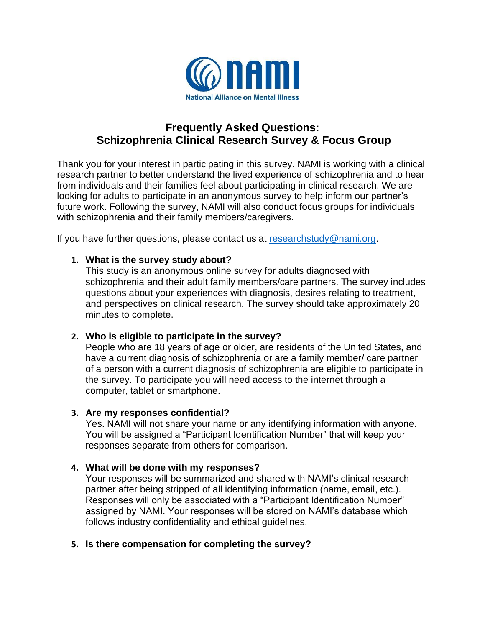

# **Frequently Asked Questions: Schizophrenia Clinical Research Survey & Focus Group**

Thank you for your interest in participating in this survey. NAMI is working with a clinical research partner to better understand the lived experience of schizophrenia and to hear from individuals and their families feel about participating in clinical research. We are looking for adults to participate in an anonymous survey to help inform our partner's future work. Following the survey, NAMI will also conduct focus groups for individuals with schizophrenia and their family members/caregivers.

If you have further questions, please contact us at [researchstudy@nami.org.](mailto:researchstudy@nami.org)

### **1. What is the survey study about?**

This study is an anonymous online survey for adults diagnosed with schizophrenia and their adult family members/care partners. The survey includes questions about your experiences with diagnosis, desires relating to treatment, and perspectives on clinical research. The survey should take approximately 20 minutes to complete.

# **2. Who is eligible to participate in the survey?**

People who are 18 years of age or older, are residents of the United States, and have a current diagnosis of schizophrenia or are a family member/ care partner of a person with a current diagnosis of schizophrenia are eligible to participate in the survey. To participate you will need access to the internet through a computer, tablet or smartphone.

### **3. Are my responses confidential?**

Yes. NAMI will not share your name or any identifying information with anyone. You will be assigned a "Participant Identification Number" that will keep your responses separate from others for comparison.

### **4. What will be done with my responses?**

Your responses will be summarized and shared with NAMI's clinical research partner after being stripped of all identifying information (name, email, etc.). Responses will only be associated with a "Participant Identification Number" assigned by NAMI. Your responses will be stored on NAMI's database which follows industry confidentiality and ethical guidelines.

# **5. Is there compensation for completing the survey?**